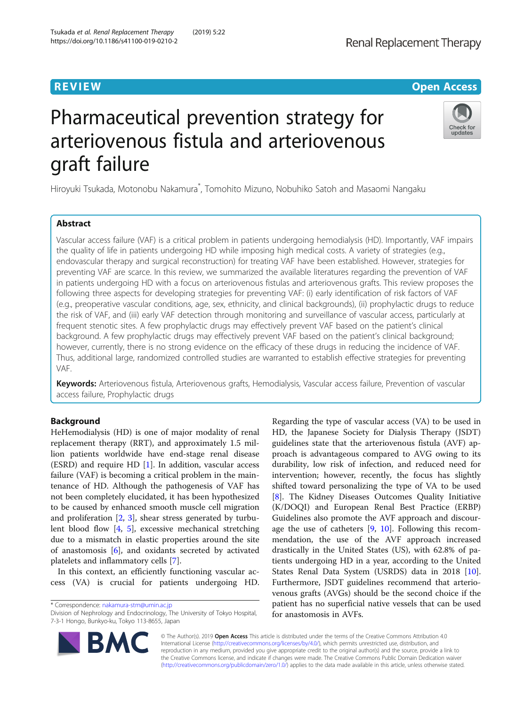# Pharmaceutical prevention strategy for arteriovenous fistula and arteriovenous graft failure

Hiroyuki Tsukada, Motonobu Nakamura<sup>\*</sup>, Tomohito Mizuno, Nobuhiko Satoh and Masaomi Nangaku

## Abstract

Vascular access failure (VAF) is a critical problem in patients undergoing hemodialysis (HD). Importantly, VAF impairs the quality of life in patients undergoing HD while imposing high medical costs. A variety of strategies (e.g., endovascular therapy and surgical reconstruction) for treating VAF have been established. However, strategies for preventing VAF are scarce. In this review, we summarized the available literatures regarding the prevention of VAF in patients undergoing HD with a focus on arteriovenous fistulas and arteriovenous grafts. This review proposes the following three aspects for developing strategies for preventing VAF: (i) early identification of risk factors of VAF (e.g., preoperative vascular conditions, age, sex, ethnicity, and clinical backgrounds), (ii) prophylactic drugs to reduce the risk of VAF, and (iii) early VAF detection through monitoring and surveillance of vascular access, particularly at frequent stenotic sites. A few prophylactic drugs may effectively prevent VAF based on the patient's clinical background. A few prophylactic drugs may effectively prevent VAF based on the patient's clinical background; however, currently, there is no strong evidence on the efficacy of these drugs in reducing the incidence of VAF. Thus, additional large, randomized controlled studies are warranted to establish effective strategies for preventing VAF.

Keywords: Arteriovenous fistula, Arteriovenous grafts, Hemodialysis, Vascular access failure, Prevention of vascular access failure, Prophylactic drugs

## Background

HeHemodialysis (HD) is one of major modality of renal replacement therapy (RRT), and approximately 1.5 million patients worldwide have end-stage renal disease (ESRD) and require HD [\[1](#page-10-0)]. In addition, vascular access failure (VAF) is becoming a critical problem in the maintenance of HD. Although the pathogenesis of VAF has not been completely elucidated, it has been hypothesized to be caused by enhanced smooth muscle cell migration and proliferation [[2,](#page-10-0) [3](#page-10-0)], shear stress generated by turbulent blood flow [\[4](#page-10-0), [5](#page-10-0)], excessive mechanical stretching due to a mismatch in elastic properties around the site of anastomosis [\[6](#page-10-0)], and oxidants secreted by activated platelets and inflammatory cells [[7\]](#page-10-0).

In this context, an efficiently functioning vascular access (VA) is crucial for patients undergoing HD.

\* Correspondence: [nakamura-stm@umin.ac.jp](mailto:nakamura-stm@umin.ac.jp)

© The Author(s). 2019 Open Access This article is distributed under the terms of the Creative Commons Attribution 4.0 International License [\(http://creativecommons.org/licenses/by/4.0/](http://creativecommons.org/licenses/by/4.0/)), which permits unrestricted use, distribution, and reproduction in any medium, provided you give appropriate credit to the original author(s) and the source, provide a link to the Creative Commons license, and indicate if changes were made. The Creative Commons Public Domain Dedication waiver [\(http://creativecommons.org/publicdomain/zero/1.0/](http://creativecommons.org/publicdomain/zero/1.0/)) applies to the data made available in this article, unless otherwise stated.

Regarding the type of vascular access (VA) to be used in HD, the Japanese Society for Dialysis Therapy (JSDT) guidelines state that the arteriovenous fistula (AVF) approach is advantageous compared to AVG owing to its durability, low risk of infection, and reduced need for intervention; however, recently, the focus has slightly shifted toward personalizing the type of VA to be used [[8\]](#page-10-0). The Kidney Diseases Outcomes Quality Initiative (K/DOQI) and European Renal Best Practice (ERBP) Guidelines also promote the AVF approach and discourage the use of catheters  $[9, 10]$  $[9, 10]$  $[9, 10]$ . Following this recommendation, the use of the AVF approach increased drastically in the United States (US), with 62.8% of patients undergoing HD in a year, according to the United States Renal Data System (USRDS) data in 2018 [\[10](#page-10-0)]. Furthermore, JSDT guidelines recommend that arteriovenous grafts (AVGs) should be the second choice if the patient has no superficial native vessels that can be used

for anastomosis in AVFs.





Division of Nephrology and Endocrinology, The University of Tokyo Hospital, 7-3-1 Hongo, Bunkyo-ku, Tokyo 113-8655, Japan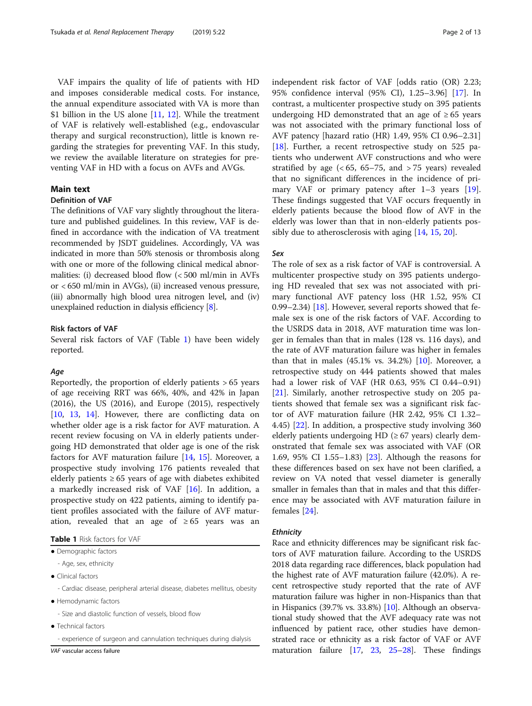VAF impairs the quality of life of patients with HD and imposes considerable medical costs. For instance, the annual expenditure associated with VA is more than \$1 billion in the US alone  $[11, 12]$  $[11, 12]$  $[11, 12]$  $[11, 12]$  $[11, 12]$ . While the treatment of VAF is relatively well-established (e.g., endovascular therapy and surgical reconstruction), little is known regarding the strategies for preventing VAF. In this study, we review the available literature on strategies for preventing VAF in HD with a focus on AVFs and AVGs.

## Main text

## Definition of VAF

The definitions of VAF vary slightly throughout the literature and published guidelines. In this review, VAF is defined in accordance with the indication of VA treatment recommended by JSDT guidelines. Accordingly, VA was indicated in more than 50% stenosis or thrombosis along with one or more of the following clinical medical abnormalities: (i) decreased blood flow (< 500 ml/min in AVFs or < 650 ml/min in AVGs), (ii) increased venous pressure, (iii) abnormally high blood urea nitrogen level, and (iv) unexplained reduction in dialysis efficiency [[8\]](#page-10-0).

## Risk factors of VAF

Several risk factors of VAF (Table 1) have been widely reported.

## Age

Reportedly, the proportion of elderly patients > 65 years of age receiving RRT was 66%, 40%, and 42% in Japan (2016), the US (2016), and Europe (2015), respectively [[10,](#page-10-0) [13,](#page-10-0) [14\]](#page-10-0). However, there are conflicting data on whether older age is a risk factor for AVF maturation. A recent review focusing on VA in elderly patients undergoing HD demonstrated that older age is one of the risk factors for AVF maturation failure [[14](#page-10-0), [15](#page-10-0)]. Moreover, a prospective study involving 176 patients revealed that elderly patients  $\geq 65$  years of age with diabetes exhibited a markedly increased risk of VAF [\[16](#page-10-0)]. In addition, a prospective study on 422 patients, aiming to identify patient profiles associated with the failure of AVF maturation, revealed that an age of  $\geq 65$  years was an

## Table 1 Risk factors for VAF

- Demographic factors
	- Age, sex, ethnicity
- Clinical factors
	- Cardiac disease, peripheral arterial disease, diabetes mellitus, obesity
- Hemodynamic factors
	- Size and diastolic function of vessels, blood flow
- Technical factors

- experience of surgeon and cannulation techniques during dialysis

VAF vascular access failure

independent risk factor of VAF [odds ratio (OR) 2.23; 95% confidence interval (95% CI), 1.25–3.96] [\[17](#page-10-0)]. In contrast, a multicenter prospective study on 395 patients undergoing HD demonstrated that an age of  $\geq 65$  years was not associated with the primary functional loss of AVF patency [hazard ratio (HR) 1.49, 95% CI 0.96–2.31] [[18\]](#page-10-0). Further, a recent retrospective study on 525 patients who underwent AVF constructions and who were stratified by age  $( $65, 65-75,$  and  $>75$  years) revealed$ that no significant differences in the incidence of pri-mary VAF or primary patency after 1–3 years [\[19](#page-10-0)]. These findings suggested that VAF occurs frequently in elderly patients because the blood flow of AVF in the elderly was lower than that in non-elderly patients pos-sibly due to atherosclerosis with aging [[14,](#page-10-0) [15,](#page-10-0) [20\]](#page-10-0).

## Sex

The role of sex as a risk factor of VAF is controversial. A multicenter prospective study on 395 patients undergoing HD revealed that sex was not associated with primary functional AVF patency loss (HR 1.52, 95% CI 0.99–2.34) [[18](#page-10-0)]. However, several reports showed that female sex is one of the risk factors of VAF. According to the USRDS data in 2018, AVF maturation time was longer in females than that in males (128 vs. 116 days), and the rate of AVF maturation failure was higher in females than that in males  $(45.1\% \text{ vs. } 34.2\%)$  [[10\]](#page-10-0). Moreover, a retrospective study on 444 patients showed that males had a lower risk of VAF (HR 0.63, 95% CI 0.44–0.91) [[21\]](#page-10-0). Similarly, another retrospective study on 205 patients showed that female sex was a significant risk factor of AVF maturation failure (HR 2.42, 95% CI 1.32– 4.45) [\[22](#page-10-0)]. In addition, a prospective study involving 360 elderly patients undergoing HD ( $\geq$  67 years) clearly demonstrated that female sex was associated with VAF (OR 1.69, 95% CI 1.55–1.83) [\[23\]](#page-10-0). Although the reasons for these differences based on sex have not been clarified, a review on VA noted that vessel diameter is generally smaller in females than that in males and that this difference may be associated with AVF maturation failure in females [\[24](#page-10-0)].

## Ethnicity

Race and ethnicity differences may be significant risk factors of AVF maturation failure. According to the USRDS 2018 data regarding race differences, black population had the highest rate of AVF maturation failure (42.0%). A recent retrospective study reported that the rate of AVF maturation failure was higher in non-Hispanics than that in Hispanics (39.7% vs. 33.8%) [[10](#page-10-0)]. Although an observational study showed that the AVF adequacy rate was not influenced by patient race, other studies have demonstrated race or ethnicity as a risk factor of VAF or AVF maturation failure [[17](#page-10-0), [23,](#page-10-0) [25](#page-10-0)–[28](#page-10-0)]. These findings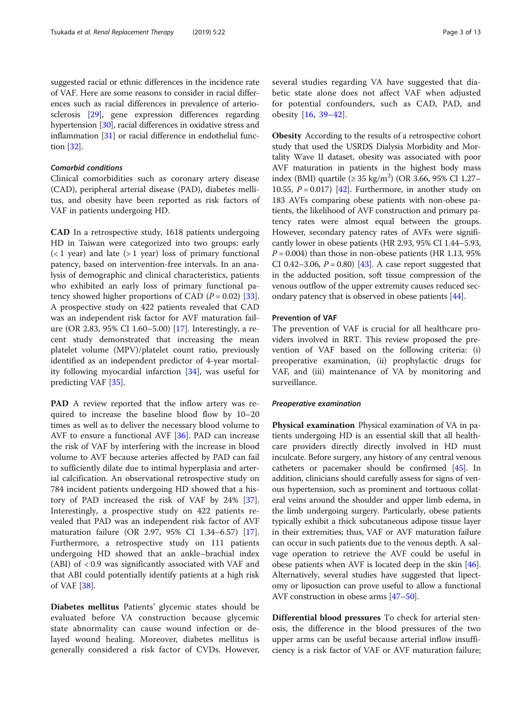of VAF. Here are some reasons to consider in racial differences such as racial differences in prevalence of arteriosclerosis [\[29\]](#page-10-0), gene expression differences regarding hypertension [\[30\]](#page-10-0), racial differences in oxidative stress and inflammation [[31](#page-10-0)] or racial difference in endothelial function [\[32\]](#page-10-0).

## Comorbid conditions

Clinical comorbidities such as coronary artery disease (CAD), peripheral arterial disease (PAD), diabetes mellitus, and obesity have been reported as risk factors of VAF in patients undergoing HD.

CAD In a retrospective study, 1618 patients undergoing HD in Taiwan were categorized into two groups: early  $(< 1$  year) and late  $(> 1$  year) loss of primary functional patency, based on intervention-free intervals. In an analysis of demographic and clinical characteristics, patients who exhibited an early loss of primary functional patency showed higher proportions of CAD  $(P = 0.02)$  [\[33](#page-11-0)]. A prospective study on 422 patients revealed that CAD was an independent risk factor for AVF maturation failure (OR 2.83, 95% CI 1.60–5.00) [\[17\]](#page-10-0). Interestingly, a recent study demonstrated that increasing the mean platelet volume (MPV)/platelet count ratio, previously identified as an independent predictor of 4-year mortality following myocardial infarction [[34](#page-11-0)], was useful for predicting VAF [\[35\]](#page-11-0).

PAD A review reported that the inflow artery was required to increase the baseline blood flow by 10–20 times as well as to deliver the necessary blood volume to AVF to ensure a functional AVF [\[36](#page-11-0)]. PAD can increase the risk of VAF by interfering with the increase in blood volume to AVF because arteries affected by PAD can fail to sufficiently dilate due to intimal hyperplasia and arterial calcification. An observational retrospective study on 784 incident patients undergoing HD showed that a history of PAD increased the risk of VAF by 24% [\[37](#page-11-0)]. Interestingly, a prospective study on 422 patients revealed that PAD was an independent risk factor of AVF maturation failure (OR 2.97, 95% CI 1.34–6.57) [\[17](#page-10-0)]. Furthermore, a retrospective study on 111 patients undergoing HD showed that an ankle–brachial index (ABI) of < 0.9 was significantly associated with VAF and that ABI could potentially identify patients at a high risk of VAF [[38\]](#page-11-0).

Diabetes mellitus Patients' glycemic states should be evaluated before VA construction because glycemic state abnormality can cause wound infection or delayed wound healing. Moreover, diabetes mellitus is generally considered a risk factor of CVDs. However, several studies regarding VA have suggested that diabetic state alone does not affect VAF when adjusted for potential confounders, such as CAD, PAD, and obesity [[16](#page-10-0), [39](#page-11-0)–[42](#page-11-0)].

Obesity According to the results of a retrospective cohort study that used the USRDS Dialysis Morbidity and Mortality Wave II dataset, obesity was associated with poor AVF maturation in patients in the highest body mass index (BMI) quartile (≥ 35 kg/m2 ) (OR 3.66, 95% CI 1.27– 10.55,  $P = 0.017$  [\[42\]](#page-11-0). Furthermore, in another study on 183 AVFs comparing obese patients with non-obese patients, the likelihood of AVF construction and primary patency rates were almost equal between the groups. However, secondary patency rates of AVFs were significantly lower in obese patients (HR 2.93, 95% CI 1.44–5.93,  $P = 0.004$ ) than those in non-obese patients (HR 1.13, 95%) CI 0.42–3.06,  $P = 0.80$  [[43](#page-11-0)]. A case report suggested that in the adducted position, soft tissue compression of the venous outflow of the upper extremity causes reduced secondary patency that is observed in obese patients [[44](#page-11-0)].

## Prevention of VAF

The prevention of VAF is crucial for all healthcare providers involved in RRT. This review proposed the prevention of VAF based on the following criteria: (i) preoperative examination, (ii) prophylactic drugs for VAF, and (iii) maintenance of VA by monitoring and surveillance.

## Preoperative examination

Physical examination Physical examination of VA in patients undergoing HD is an essential skill that all healthcare providers directly directly involved in HD must inculcate. Before surgery, any history of any central venous catheters or pacemaker should be confirmed [\[45\]](#page-11-0). In addition, clinicians should carefully assess for signs of venous hypertension, such as prominent and tortuous collateral veins around the shoulder and upper limb edema, in the limb undergoing surgery. Particularly, obese patients typically exhibit a thick subcutaneous adipose tissue layer in their extremities; thus, VAF or AVF maturation failure can occur in such patients due to the venous depth. A salvage operation to retrieve the AVF could be useful in obese patients when AVF is located deep in the skin [[46](#page-11-0)]. Alternatively, several studies have suggested that lipectomy or liposuction can prove useful to allow a functional AVF construction in obese arms [[47](#page-11-0)–[50\]](#page-11-0).

Differential blood pressures To check for arterial stenosis, the difference in the blood pressures of the two upper arms can be useful because arterial inflow insufficiency is a risk factor of VAF or AVF maturation failure;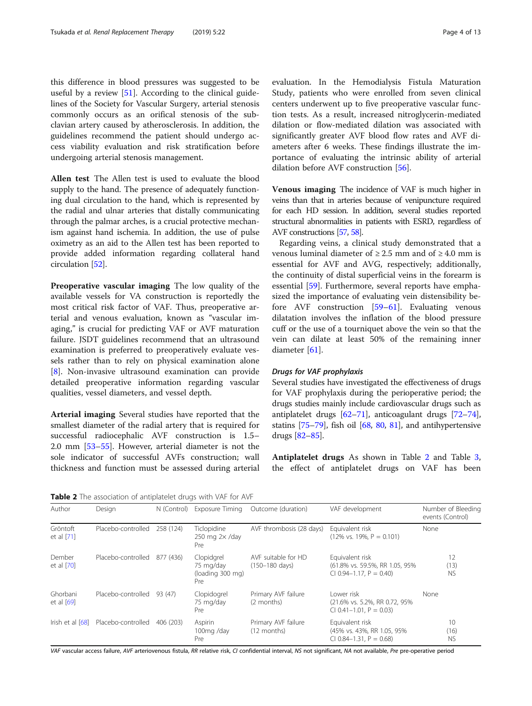<span id="page-3-0"></span>this difference in blood pressures was suggested to be useful by a review  $[51]$  $[51]$ . According to the clinical guidelines of the Society for Vascular Surgery, arterial stenosis commonly occurs as an orifical stenosis of the subclavian artery caused by atherosclerosis. In addition, the guidelines recommend the patient should undergo access viability evaluation and risk stratification before undergoing arterial stenosis management.

Allen test The Allen test is used to evaluate the blood supply to the hand. The presence of adequately functioning dual circulation to the hand, which is represented by the radial and ulnar arteries that distally communicating through the palmar arches, is a crucial protective mechanism against hand ischemia. In addition, the use of pulse oximetry as an aid to the Allen test has been reported to provide added information regarding collateral hand circulation [\[52\]](#page-11-0).

Preoperative vascular imaging The low quality of the available vessels for VA construction is reportedly the most critical risk factor of VAF. Thus, preoperative arterial and venous evaluation, known as "vascular imaging," is crucial for predicting VAF or AVF maturation failure. JSDT guidelines recommend that an ultrasound examination is preferred to preoperatively evaluate vessels rather than to rely on physical examination alone [[8\]](#page-10-0). Non-invasive ultrasound examination can provide detailed preoperative information regarding vascular qualities, vessel diameters, and vessel depth.

Arterial imaging Several studies have reported that the smallest diameter of the radial artery that is required for successful radiocephalic AVF construction is 1.5– 2.0 mm [\[53](#page-11-0)–[55\]](#page-11-0). However, arterial diameter is not the sole indicator of successful AVFs construction; wall thickness and function must be assessed during arterial evaluation. In the Hemodialysis Fistula Maturation Study, patients who were enrolled from seven clinical centers underwent up to five preoperative vascular function tests. As a result, increased nitroglycerin-mediated dilation or flow-mediated dilation was associated with significantly greater AVF blood flow rates and AVF diameters after 6 weeks. These findings illustrate the importance of evaluating the intrinsic ability of arterial dilation before AVF construction [[56](#page-11-0)].

Venous imaging The incidence of VAF is much higher in veins than that in arteries because of venipuncture required for each HD session. In addition, several studies reported structural abnormalities in patients with ESRD, regardless of AVF constructions [\[57,](#page-11-0) [58](#page-11-0)].

Regarding veins, a clinical study demonstrated that a venous luminal diameter of  $\geq 2.5$  mm and of  $\geq 4.0$  mm is essential for AVF and AVG, respectively; additionally, the continuity of distal superficial veins in the forearm is essential [[59\]](#page-11-0). Furthermore, several reports have emphasized the importance of evaluating vein distensibility before AVF construction [\[59](#page-11-0)–[61\]](#page-11-0). Evaluating venous dilatation involves the inflation of the blood pressure cuff or the use of a tourniquet above the vein so that the vein can dilate at least 50% of the remaining inner diameter [[61\]](#page-11-0).

## Drugs for VAF prophylaxis

Several studies have investigated the effectiveness of drugs for VAF prophylaxis during the perioperative period; the drugs studies mainly include cardiovascular drugs such as antiplatelet drugs [\[62](#page-11-0)–[71](#page-11-0)], anticoagulant drugs [\[72](#page-11-0)–[74](#page-11-0)], statins [\[75](#page-11-0)–[79](#page-12-0)], fish oil [[68](#page-11-0), [80,](#page-12-0) [81\]](#page-12-0), and antihypertensive drugs [[82](#page-12-0)–[85\]](#page-12-0).

Antiplatelet drugs As shown in Table 2 and Table [3](#page-4-0), the effect of antiplatelet drugs on VAF has been

Table 2 The association of antiplatelet drugs with VAF for AVF

| Author                 | Design             |           | N (Control) Exposure Timing                        | Outcome (duration)                                | VAF development                                                                 | events (Control) | Number of Bleeding      |
|------------------------|--------------------|-----------|----------------------------------------------------|---------------------------------------------------|---------------------------------------------------------------------------------|------------------|-------------------------|
| Gröntoft<br>et al [71] | Placebo-controlled | 258 (124) | Ticlopidine<br>250 mg $2\times$ /day<br>Pre        | AVF thrombosis (28 days)                          | Equivalent risk<br>$(12\% \text{ vs. } 19\% \text{ P} = 0.101)$                 | None             |                         |
| Dember<br>et al [70]   | Placebo-controlled | 877 (436) | Clopidgrel<br>75 mg/day<br>(loading 300 mg)<br>Pre | AVF suitable for HD<br>$(150 - 180 \text{ days})$ | Equivalent risk<br>(61.8% vs. 59.5%, RR 1.05, 95%<br>$Cl$ 0.94-1.17, $P = 0.40$ |                  | 12<br>(13)<br><b>NS</b> |
| Ghorbani<br>et al [69] | Placebo-controlled | 93 (47)   | Clopidogrel<br>75 mg/day<br>Pre                    | Primary AVF failure<br>(2 months)                 | I ower risk<br>(21.6% vs. 5.2%, RR 0.72, 95%)<br>$Cl$ 0.41-1.01, P = 0.03)      | None             |                         |
| Irish et al [68]       | Placebo-controlled | 406 (203) | Aspirin<br>100mg /day<br>Pre                       | Primary AVF failure<br>$(12$ months)              | Equivalent risk<br>(45% vs. 43%, RR 1.05, 95%<br>CI 0.84-1.31, $P = 0.68$ )     |                  | 10<br>(16)<br><b>NS</b> |

VAF vascular access failure, AVF arteriovenous fistula, RR relative risk, CI confidential interval, NS not significant, NA not available, Pre pre-operative period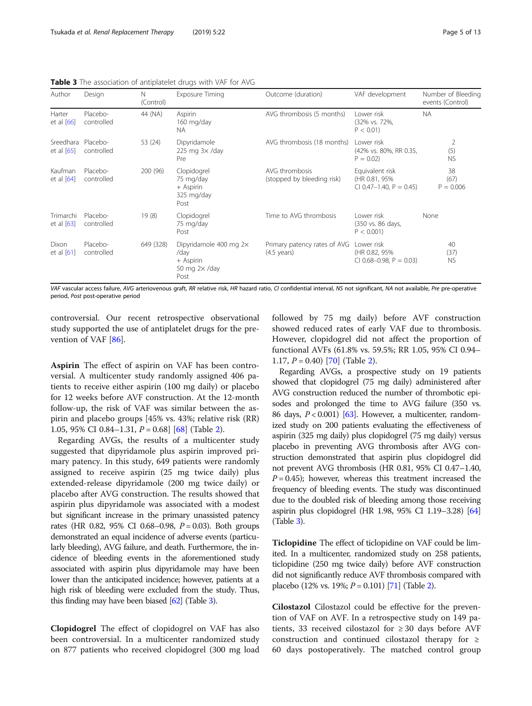| Author                     | Design                 | N<br>(Control) | Exposure Timing                                                      | Outcome (duration)                                    | VAF development                                                   | Number of Bleeding<br>events (Control) |
|----------------------------|------------------------|----------------|----------------------------------------------------------------------|-------------------------------------------------------|-------------------------------------------------------------------|----------------------------------------|
| Harter<br>et al [66]       | Placebo-<br>controlled | 44 (NA)        | Aspirin<br>160 mg/day<br><b>NA</b>                                   | AVG thrombosis (5 months)                             | Lower risk<br>(32% vs. 72%,<br>$P < 0.01$ )                       | <b>NA</b>                              |
| Sreedhara<br>et al [65]    | Placebo-<br>controlled | 53 (24)        | Dipyridamole<br>225 mg $3\times$ /day<br>Pre                         | AVG thrombosis (18 months)                            | Lower risk<br>(42% vs. 80%, RR 0.35,<br>$P = 0.02$                | 2<br>(5)<br><b>NS</b>                  |
| Kaufman<br>et al [64]      | Placebo-<br>controlled | 200 (96)       | Clopidogrel<br>75 mg/day<br>+ Aspirin<br>325 mg/day<br>Post          | AVG thrombosis<br>(stopped by bleeding risk)          | Equivalent risk<br>(HR 0.81, 95%)<br>$Cl$ 0.47-1.40, $P = 0.45$ ) | 38<br>(67)<br>$P = 0.006$              |
| Trimarchi<br>et al [63]    | Placebo-<br>controlled | 19(8)          | Clopidogrel<br>75 mg/day<br>Post                                     | Time to AVG thrombosis                                | Lower risk<br>(350 vs. 86 days,<br>$P < 0.001$ )                  | None                                   |
| <b>Dixon</b><br>et al [61] | Placebo-<br>controlled | 649 (328)      | Dipyridamole 400 mg 2x<br>/day<br>+ Aspirin<br>50 mg 2x /day<br>Post | Primary patency rates of AVG<br>$(4.5 \text{ years})$ | Lower risk<br>(HR 0.82, 95%)<br>CI 0.68-0.98, $P = 0.03$          | 40<br>(37)<br><b>NS</b>                |

<span id="page-4-0"></span>Table 3 The association of antiplatelet drugs with VAF for AVG

VAF vascular access failure, AVG arteriovenous graft, RR relative risk, HR hazard ratio, CI confidential interval, NS not significant, NA not available, Pre pre-operative period, Post post-operative period

controversial. Our recent retrospective observational study supported the use of antiplatelet drugs for the pre-vention of VAF [\[86](#page-12-0)].

Aspirin The effect of aspirin on VAF has been controversial. A multicenter study randomly assigned 406 patients to receive either aspirin (100 mg daily) or placebo for 12 weeks before AVF construction. At the 12-month follow-up, the risk of VAF was similar between the aspirin and placebo groups [45% vs. 43%; relative risk (RR) 1.05, 95% CI 0.84–1.31,  $P = 0.68$ ] [\[68](#page-11-0)] (Table [2](#page-3-0)).

Regarding AVGs, the results of a multicenter study suggested that dipyridamole plus aspirin improved primary patency. In this study, 649 patients were randomly assigned to receive aspirin (25 mg twice daily) plus extended-release dipyridamole (200 mg twice daily) or placebo after AVG construction. The results showed that aspirin plus dipyridamole was associated with a modest but significant increase in the primary unassisted patency rates (HR 0.82, 95% CI 0.68–0.98,  $P = 0.03$ ). Both groups demonstrated an equal incidence of adverse events (particularly bleeding), AVG failure, and death. Furthermore, the incidence of bleeding events in the aforementioned study associated with aspirin plus dipyridamole may have been lower than the anticipated incidence; however, patients at a high risk of bleeding were excluded from the study. Thus, this finding may have been biased [\[62\]](#page-11-0) (Table 3).

Clopidogrel The effect of clopidogrel on VAF has also been controversial. In a multicenter randomized study on 877 patients who received clopidogrel (300 mg load followed by 75 mg daily) before AVF construction showed reduced rates of early VAF due to thrombosis. However, clopidogrel did not affect the proportion of functional AVFs (61.8% vs. 59.5%; RR 1.05, 95% CI 0.94– 1.17,  $P = 0.40$  [[70\]](#page-11-0) (Table [2](#page-3-0)).

Regarding AVGs, a prospective study on 19 patients showed that clopidogrel (75 mg daily) administered after AVG construction reduced the number of thrombotic episodes and prolonged the time to AVG failure (350 vs. 86 days,  $P < 0.001$ ) [[63](#page-11-0)]. However, a multicenter, randomized study on 200 patients evaluating the effectiveness of aspirin (325 mg daily) plus clopidogrel (75 mg daily) versus placebo in preventing AVG thrombosis after AVG construction demonstrated that aspirin plus clopidogrel did not prevent AVG thrombosis (HR 0.81, 95% CI 0.47–1.40,  $P = 0.45$ ); however, whereas this treatment increased the frequency of bleeding events. The study was discontinued due to the doubled risk of bleeding among those receiving aspirin plus clopidogrel (HR 1.98, 95% CI 1.19–3.28) [\[64](#page-11-0)] (Table 3).

Ticlopidine The effect of ticlopidine on VAF could be limited. In a multicenter, randomized study on 258 patients, ticlopidine (250 mg twice daily) before AVF construction did not significantly reduce AVF thrombosis compared with placebo (1[2](#page-3-0)% vs. 19%;  $P = 0.101$ ) [\[71\]](#page-11-0) (Table 2).

Cilostazol Cilostazol could be effective for the prevention of VAF on AVF. In a retrospective study on 149 patients, 33 received cilostazol for ≥ 30 days before AVF construction and continued cilostazol therapy for ≥ 60 days postoperatively. The matched control group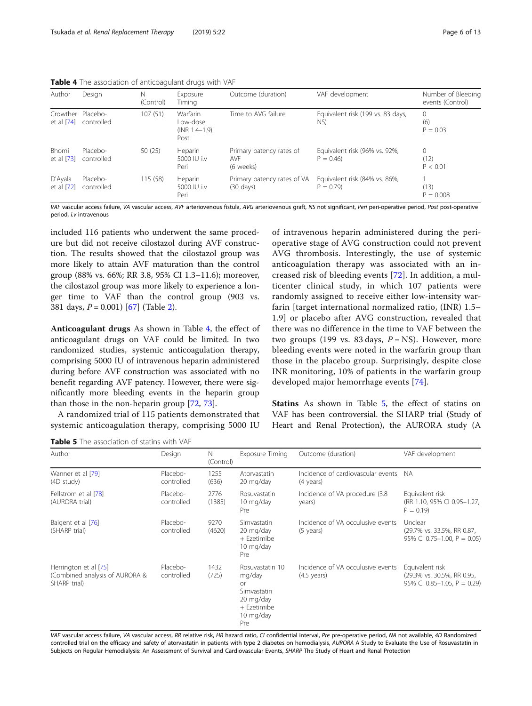Table 4 The association of anticoagulant drugs with VAF

| Author                 | Design                 | N.<br>(Control) | Exposure<br>Timing                               | Outcome (duration)                                 | VAF development                             | Number of Bleeding<br>events (Control) |
|------------------------|------------------------|-----------------|--------------------------------------------------|----------------------------------------------------|---------------------------------------------|----------------------------------------|
| Crowther<br>et al [74] | Placebo-<br>controlled | 107(51)         | Warfarin<br>Low-dose<br>$(NR 1.4 - 1.9)$<br>Post | Time to AVG failure                                | Equivalent risk (199 vs. 83 days,<br>NS)    | 0<br>(6)<br>$P = 0.03$                 |
| Bhomi<br>et al [73]    | Placebo-<br>controlled | 50(25)          | Heparin<br>5000 IU i.v<br>Peri                   | Primary patency rates of<br>AVF<br>(6 weeks)       | Equivalent risk (96% vs. 92%,<br>$P = 0.46$ | 0<br>(12)<br>P < 0.01                  |
| D'Ayala<br>et al [72]  | Placebo-<br>controlled | 115(58)         | Heparin<br>5000 IU i.v<br>Peri                   | Primary patency rates of VA<br>$(30 \text{ days})$ | Equivalent risk (84% vs. 86%,<br>$P = 0.79$ | (13)<br>$P = 0.008$                    |

VAF vascular access failure, VA vascular access, AVF arteriovenous fistula, AVG arteriovenous graft, NS not significant, Peri peri-operative period, Post post-operative period, i.v intravenous

included 116 patients who underwent the same procedure but did not receive cilostazol during AVF construction. The results showed that the cilostazol group was more likely to attain AVF maturation than the control group (88% vs. 66%; RR 3.8, 95% CI 1.3–11.6); moreover, the cilostazol group was more likely to experience a longer time to VAF than the control group (903 vs. 381 days,  $P = 0.001$  [[67](#page-11-0)] (Table [2\)](#page-3-0).

Anticoagulant drugs As shown in Table 4, the effect of anticoagulant drugs on VAF could be limited. In two randomized studies, systemic anticoagulation therapy, comprising 5000 IU of intravenous heparin administered during before AVF construction was associated with no benefit regarding AVF patency. However, there were significantly more bleeding events in the heparin group than those in the non-heparin group [[72,](#page-11-0) [73\]](#page-11-0).

A randomized trial of 115 patients demonstrated that systemic anticoagulation therapy, comprising 5000 IU

of intravenous heparin administered during the perioperative stage of AVG construction could not prevent AVG thrombosis. Interestingly, the use of systemic anticoagulation therapy was associated with an increased risk of bleeding events [[72\]](#page-11-0). In addition, a multicenter clinical study, in which 107 patients were randomly assigned to receive either low-intensity warfarin [target international normalized ratio, (INR) 1.5– 1.9] or placebo after AVG construction, revealed that there was no difference in the time to VAF between the two groups (199 vs. 83 days,  $P = NS$ ). However, more bleeding events were noted in the warfarin group than those in the placebo group. Surprisingly, despite close INR monitoring, 10% of patients in the warfarin group developed major hemorrhage events [\[74\]](#page-11-0).

Statins As shown in Table 5, the effect of statins on VAF has been controversial. the SHARP trial (Study of Heart and Renal Protection), the AURORA study (A

| Author                                                                  | Design                 | N<br>(Control) | Exposure Timing                                                                                | Outcome (duration)                                         | VAF development                                                                 |
|-------------------------------------------------------------------------|------------------------|----------------|------------------------------------------------------------------------------------------------|------------------------------------------------------------|---------------------------------------------------------------------------------|
| Wanner et al [79]<br>(4D study)                                         | Placebo-<br>controlled | 1255<br>(636)  | Atorvastatin<br>20 mg/day                                                                      | Incidence of cardiovascular events<br>(4 years)            | <b>NA</b>                                                                       |
| Fellstrom et al [78]<br>(AURORA trial)                                  | Placebo-<br>controlled | 2776<br>(1385) | Rosuvastatin<br>10 mg/day<br>Pre                                                               | Incidence of VA procedure (3.8)<br>years)                  | Equivalent risk<br>(RR 1.10, 95% CI 0.95-1.27,<br>$P = 0.19$                    |
| Baigent et al [76]<br>(SHARP trial)                                     | Placebo-<br>controlled | 9270<br>(4620) | Simvastatin<br>20 mg/day<br>+ Ezetimibe<br>10 mg/day<br>Pre                                    | Incidence of VA occulusive events<br>(5 years)             | Unclear<br>(29.7% vs. 33.5%, RR 0.87,<br>95% CI 0.75-1.00, $P = 0.05$ )         |
| Herrington et al [75]<br>(Combined analysis of AURORA &<br>SHARP trial) | Placebo-<br>controlled | 1432<br>(725)  | Rosuvastatin 10<br>mg/day<br>or<br>Simvastatin<br>20 mg/day<br>+ Ezetimibe<br>10 mg/day<br>Pre | Incidence of VA occulusive events<br>$(4.5 \text{ years})$ | Equivalent risk<br>(29.3% vs. 30.5%, RR 0.95,<br>95% CI 0.85-1.05, $P = 0.29$ ) |

VAF vascular access failure, VA vascular access, RR relative risk, HR hazard ratio, CI confidential interval, Pre pre-operative period, NA not available, 4D Randomized controlled trial on the efficacy and safety of atorvastatin in patients with type 2 diabetes on hemodialysis, AURORA A Study to Evaluate the Use of Rosuvastatin in Subjects on Regular Hemodialysis: An Assessment of Survival and Cardiovascular Events, SHARP The Study of Heart and Renal Protection

Table 5 The association of statins with VAF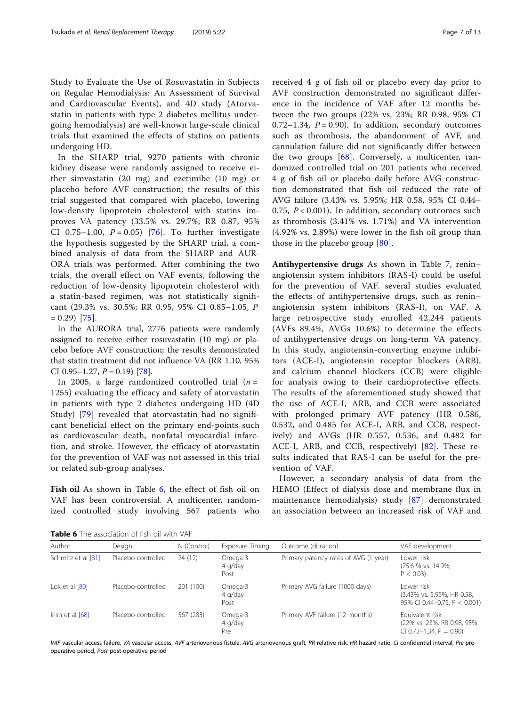Study to Evaluate the Use of Rosuvastatin in Subjects on Regular Hemodialysis: An Assessment of Survival and Cardiovascular Events), and 4D study (Atorvastatin in patients with type 2 diabetes mellitus undergoing hemodialysis) are well-known large-scale clinical trials that examined the effects of statins on patients undergoing HD.

In the SHARP trial, 9270 patients with chronic kidney disease were randomly assigned to receive either simvastatin (20 mg) and ezetimibe (10 mg) or placebo before AVF construction; the results of this trial suggested that compared with placebo, lowering low-density lipoprotein cholesterol with statins improves VA patency (33.5% vs. 29.7%; RR 0.87, 95% CI 0.75–1.00,  $P = 0.05$  [\[76](#page-11-0)]. To further investigate the hypothesis suggested by the SHARP trial, a combined analysis of data from the SHARP and AUR-ORA trials was performed. After combining the two trials, the overall effect on VAF events, following the reduction of low-density lipoprotein cholesterol with a statin-based regimen, was not statistically significant (29.3% vs. 30.5%; RR 0.95, 95% CI 0.85–1.05, P  $= 0.29$  [[75](#page-11-0)].

In the AURORA trial, 2776 patients were randomly assigned to receive either rosuvastatin (10 mg) or placebo before AVF construction; the results demonstrated that statin treatment did not influence VA (RR 1.10, 95% CI 0.95–1.27,  $P = 0.19$  [[78](#page-11-0)].

In 2005, a large randomized controlled trial  $(n =$ 1255) evaluating the efficacy and safety of atorvastatin in patients with type 2 diabetes undergoing HD (4D Study) [[79](#page-12-0)] revealed that atorvastatin had no significant beneficial effect on the primary end-points such as cardiovascular death, nonfatal myocardial infarction, and stroke. However, the efficacy of atorvastatin for the prevention of VAF was not assessed in this trial or related sub-group analyses.

Fish oil As shown in Table 6, the effect of fish oil on VAF has been controversial. A multicenter, randomized controlled study involving 567 patients who received 4 g of fish oil or placebo every day prior to AVF construction demonstrated no significant difference in the incidence of VAF after 12 months between the two groups (22% vs. 23%; RR 0.98, 95% CI 0.72–1.34,  $P = 0.90$ ). In addition, secondary outcomes such as thrombosis, the abandonment of AVF, and cannulation failure did not significantly differ between the two groups [\[68](#page-11-0)]. Conversely, a multicenter, randomized controlled trial on 201 patients who received 4 g of fish oil or placebo daily before AVG construction demonstrated that fish oil reduced the rate of AVG failure (3.43% vs. 5.95%; HR 0.58, 95% CI 0.44– 0.75,  $P < 0.001$ ). In addition, secondary outcomes such as thrombosis (3.41% vs. 1.71%) and VA intervention (4.92% vs. 2.89%) were lower in the fish oil group than those in the placebo group [[80](#page-12-0)].

Antihypertensive drugs As shown in Table [7,](#page-7-0) renin– angiotensin system inhibitors (RAS-I) could be useful for the prevention of VAF. several studies evaluated the effects of antihypertensive drugs, such as renin– angiotensin system inhibitors (RAS-I), on VAF. A large retrospective study enrolled 42,244 patients (AVFs 89.4%, AVGs 10.6%) to determine the effects of antihypertensive drugs on long-term VA patency. In this study, angiotensin-converting enzyme inhibitors (ACE-I), angiotensin receptor blockers (ARB), and calcium channel blockers (CCB) were eligible for analysis owing to their cardioprotective effects. The results of the aforementioned study showed that the use of ACE-I, ARB, and CCB were associated with prolonged primary AVF patency (HR 0.586, 0.532, and 0.485 for ACE-I, ARB, and CCB, respectively) and AVGs (HR 0.557, 0.536, and 0.482 for ACE-I, ARB, and CCB, respectively) [\[82](#page-12-0)]. These results indicated that RAS-I can be useful for the prevention of VAF.

However, a secondary analysis of data from the HEMO (Effect of dialysis dose and membrane flux in maintenance hemodialysis) study [[87](#page-12-0)] demonstrated an association between an increased risk of VAF and

Table 6 The association of fish oil with VAF

| Author             | Design             | N (Control) | Exposure Timing            | Outcome (duration)                    | VAF development                                                             |  |
|--------------------|--------------------|-------------|----------------------------|---------------------------------------|-----------------------------------------------------------------------------|--|
| Schmitz et al [81] | Placebo-controlled | 24 (12)     | Omega-3<br>4 g/day<br>Post | Primary patency rates of AVG (1 year) | Lower risk<br>(75.6 % vs. 14.9%,<br>$P < 0.03$ )                            |  |
| Lok et al $[80]$   | Placebo-controlled | 201 (100)   | Omega-3<br>4 g/day<br>Post | Primary AVG failure (1000 days)       | Lower risk<br>(3.43% vs. 5.95%, HR 0.58,<br>95% CI 0.44-0.75, P < 0.001)    |  |
| Irish et al [68]   | Placebo-controlled | 567 (283)   | Omega-3<br>4 g/day<br>Pre  | Primary AVF failure (12 months)       | Equivalent risk<br>(22% vs. 23%, RR 0.98, 95%<br>$Cl$ 0.72-1.34, $P = 0.90$ |  |

VAF vascular access failure, VA vascular access, AVF arteriovenous fistula, AVG arteriovenous graft, RR relative risk, HR hazard ratio, CI confidential interval, Pre preoperative period, Post post-operative period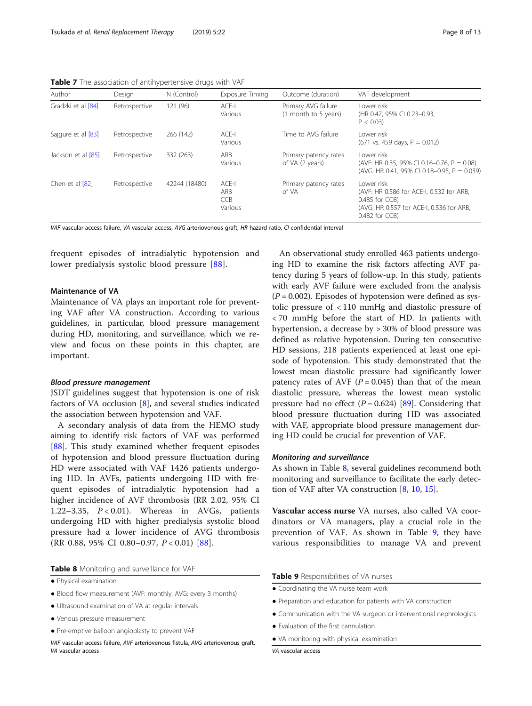<span id="page-7-0"></span>Table 7 The association of antihypertensive drugs with VAF

| Author             | Design        | N (Control)   | Exposure Timing                       | Outcome (duration)                          | VAF development                                                                                                                              |
|--------------------|---------------|---------------|---------------------------------------|---------------------------------------------|----------------------------------------------------------------------------------------------------------------------------------------------|
| Gradzki et al [84] | Retrospective | 121 (96)      | ACE-I<br>Various                      | Primary AVG failure<br>(1 month to 5 years) | Lower risk<br>(HR 0.47, 95% CI 0.23-0.93,<br>P < 0.03                                                                                        |
| Sajqure et al [83] | Retrospective | 266 (142)     | ACE-I<br>Various                      | Time to AVG failure                         | I ower risk<br>$(671 \text{ vs. } 459 \text{ days}, P = 0.012)$                                                                              |
| Jackson et al [85] | Retrospective | 332 (263)     | ARB<br>Various                        | Primary patency rates<br>of VA (2 years)    | I ower risk<br>(AVF: HR 0.35, 95% CI 0.16-0.76, P = 0.08)<br>(AVG: HR 0.41, 95% CI 0.18-0.95, P = 0.039)                                     |
| Chen et al [82]    | Retrospective | 42244 (18480) | ACE-I<br>ARB<br><b>CCB</b><br>Various | Primary patency rates<br>of VA              | I ower risk<br>(AVF: HR 0.586 for ACE-I, 0.532 for ARB,<br>0.485 for CCB)<br>(AVG: HR 0.557 for ACE-I, 0.536 for ARB,<br>$0.482$ for $CCB$ ) |

VAF vascular access failure, VA vascular access, AVG arteriovenous graft, HR hazard ratio, CI confidential interval

frequent episodes of intradialytic hypotension and lower predialysis systolic blood pressure [[88](#page-12-0)].

## Maintenance of VA

Maintenance of VA plays an important role for preventing VAF after VA construction. According to various guidelines, in particular, blood pressure management during HD, monitoring, and surveillance, which we review and focus on these points in this chapter, are important.

## Blood pressure management

JSDT guidelines suggest that hypotension is one of risk factors of VA occlusion [\[8](#page-10-0)], and several studies indicated the association between hypotension and VAF.

A secondary analysis of data from the HEMO study aiming to identify risk factors of VAF was performed [[88\]](#page-12-0). This study examined whether frequent episodes of hypotension and blood pressure fluctuation during HD were associated with VAF 1426 patients undergoing HD. In AVFs, patients undergoing HD with frequent episodes of intradialytic hypotension had a higher incidence of AVF thrombosis (RR 2.02, 95% CI 1.22–3.35,  $P < 0.01$ ). Whereas in AVGs, patients undergoing HD with higher predialysis systolic blood pressure had a lower incidence of AVG thrombosis (RR 0.88, 95% CI 0.80–0.97, P < 0.01) [[88\]](#page-12-0).

Table 8 Monitoring and surveillance for VAF

- Physical examination
- Blood flow measurement (AVF: monthly, AVG: every 3 months)
- Ultrasound examination of VA at regular intervals
- Venous pressure measurement

● Pre-emptive balloon angioplasty to prevent VAF

An observational study enrolled 463 patients undergoing HD to examine the risk factors affecting AVF patency during 5 years of follow-up. In this study, patients with early AVF failure were excluded from the analysis  $(P = 0.002)$ . Episodes of hypotension were defined as systolic pressure of < 110 mmHg and diastolic pressure of < 70 mmHg before the start of HD. In patients with hypertension, a decrease by > 30% of blood pressure was defined as relative hypotension. During ten consecutive HD sessions, 218 patients experienced at least one episode of hypotension. This study demonstrated that the lowest mean diastolic pressure had significantly lower patency rates of AVF  $(P = 0.045)$  than that of the mean diastolic pressure, whereas the lowest mean systolic pressure had no effect  $(P = 0.624)$  [[89\]](#page-12-0). Considering that blood pressure fluctuation during HD was associated with VAF, appropriate blood pressure management during HD could be crucial for prevention of VAF.

## Monitoring and surveillance

As shown in Table 8, several guidelines recommend both monitoring and surveillance to facilitate the early detection of VAF after VA construction [[8,](#page-10-0) [10](#page-10-0), [15](#page-10-0)].

Vascular access nurse VA nurses, also called VA coordinators or VA managers, play a crucial role in the prevention of VAF. As shown in Table 9, they have various responsibilities to manage VA and prevent

Table 9 Responsibilities of VA nurses

- Coordinating the VA nurse team work
- Preparation and education for patients with VA construction
- Communication with the VA surgeon or interventional nephrologists
- Evaluation of the first cannulation
- VA monitoring with physical examination

VA vascular access

VAF vascular access failure, AVF arteriovenous fistula, AVG arteriovenous graft, VA vascular access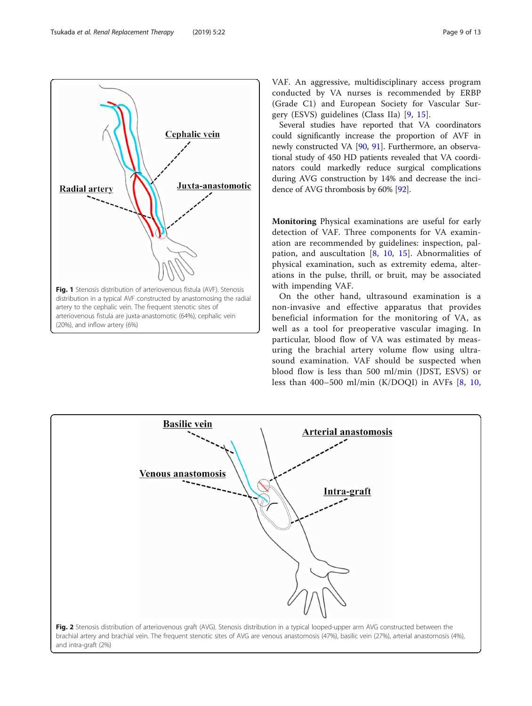<span id="page-8-0"></span>Tsukada et al. Renal Replacement Therapy (2019) 5:22 Page 9 of 13

VAF. An aggressive, multidisciplinary access program conducted by VA nurses is recommended by ERBP (Grade C1) and European Society for Vascular Surgery (ESVS) guidelines (Class IIa) [[9,](#page-10-0) [15\]](#page-10-0).

Several studies have reported that VA coordinators could significantly increase the proportion of AVF in newly constructed VA [\[90,](#page-12-0) [91](#page-12-0)]. Furthermore, an observational study of 450 HD patients revealed that VA coordinators could markedly reduce surgical complications during AVG construction by 14% and decrease the incidence of AVG thrombosis by 60% [\[92](#page-12-0)].

Monitoring Physical examinations are useful for early detection of VAF. Three components for VA examination are recommended by guidelines: inspection, palpation, and auscultation [[8](#page-10-0), [10](#page-10-0), [15](#page-10-0)]. Abnormalities of physical examination, such as extremity edema, alterations in the pulse, thrill, or bruit, may be associated with impending VAF.

On the other hand, ultrasound examination is a non-invasive and effective apparatus that provides beneficial information for the monitoring of VA, as well as a tool for preoperative vascular imaging. In particular, blood flow of VA was estimated by measuring the brachial artery volume flow using ultrasound examination. VAF should be suspected when blood flow is less than 500 ml/min (JDST, ESVS) or less than 400–500 ml/min (K/DOQI) in AVFs [[8,](#page-10-0) [10](#page-10-0),

**Arterial anastomosis** 





**Basilic vein**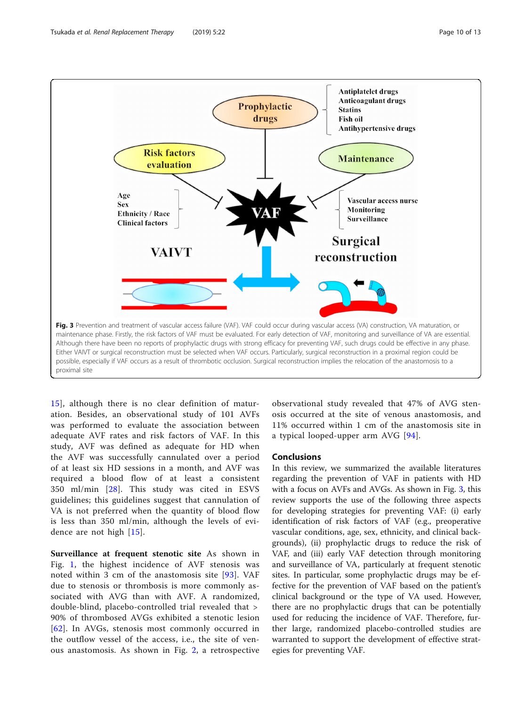

[15\]](#page-10-0), although there is no clear definition of maturation. Besides, an observational study of 101 AVFs was performed to evaluate the association between adequate AVF rates and risk factors of VAF. In this study, AVF was defined as adequate for HD when the AVF was successfully cannulated over a period of at least six HD sessions in a month, and AVF was required a blood flow of at least a consistent 350 ml/min [[28\]](#page-10-0). This study was cited in ESVS guidelines; this guidelines suggest that cannulation of VA is not preferred when the quantity of blood flow is less than 350 ml/min, although the levels of evidence are not high [\[15\]](#page-10-0).

Surveillance at frequent stenotic site As shown in Fig. [1](#page-8-0), the highest incidence of AVF stenosis was noted within 3 cm of the anastomosis site [[93](#page-12-0)]. VAF due to stenosis or thrombosis is more commonly associated with AVG than with AVF. A randomized, double-blind, placebo-controlled trial revealed that > 90% of thrombosed AVGs exhibited a stenotic lesion [[62](#page-11-0)]. In AVGs, stenosis most commonly occurred in the outflow vessel of the access, i.e., the site of venous anastomosis. As shown in Fig. [2,](#page-8-0) a retrospective observational study revealed that 47% of AVG stenosis occurred at the site of venous anastomosis, and 11% occurred within 1 cm of the anastomosis site in a typical looped-upper arm AVG [[94](#page-12-0)].

## **Conclusions**

In this review, we summarized the available literatures regarding the prevention of VAF in patients with HD with a focus on AVFs and AVGs. As shown in Fig. 3, this review supports the use of the following three aspects for developing strategies for preventing VAF: (i) early identification of risk factors of VAF (e.g., preoperative vascular conditions, age, sex, ethnicity, and clinical backgrounds), (ii) prophylactic drugs to reduce the risk of VAF, and (iii) early VAF detection through monitoring and surveillance of VA, particularly at frequent stenotic sites. In particular, some prophylactic drugs may be effective for the prevention of VAF based on the patient's clinical background or the type of VA used. However, there are no prophylactic drugs that can be potentially used for reducing the incidence of VAF. Therefore, further large, randomized placebo-controlled studies are warranted to support the development of effective strategies for preventing VAF.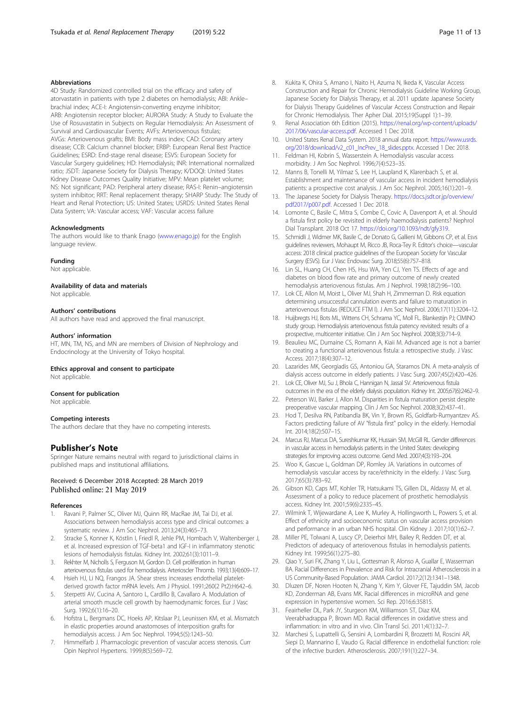## <span id="page-10-0"></span>Abbreviations

4D Study: Randomized controlled trial on the efficacy and safety of atorvastatin in patients with type 2 diabetes on hemodialysis; ABI: Ankle– brachial index; ACE-I: Angiotensin-converting enzyme inhibitor; ARB: Angiotensin receptor blocker; AURORA Study: A Study to Evaluate the Use of Rosuvastatin in Subjects on Regular Hemodialysis: An Assessment of Survival and Cardiovascular Events; AVFs: Arteriovenous fistulas; AVGs: Arteriovenous grafts; BMI: Body mass index; CAD: Coronary artery disease; CCB: Calcium channel blocker; ERBP: European Renal Best Practice Guidelines; ESRD: End-stage renal disease; ESVS: European Society for Vascular Surgery guidelines; HD: Hemodialysis; INR: International normalized ratio; JSDT: Japanese Society for Dialysis Therapy; K/DOQI: United States Kidney Disease Outcomes Quality Initiative; MPV: Mean platelet volume; NS: Not significant; PAD: Peripheral artery disease; RAS-I: Renin–angiotensin system inhibitor; RRT: Renal replacement therapy; SHARP Study: The Study of Heart and Renal Protection; US: United States; USRDS: United States Renal Data System; VA: Vascular access; VAF: Vascular access failure

## Acknowledgments

The authors would like to thank Enago [\(www.enago.jp\)](http://www.enago.jp) for the English language review.

## Funding

Not applicable.

## Availability of data and materials

Not applicable.

## Authors' contributions

All authors have read and approved the final manuscript.

## Authors' information

HT, MN, TM, NS, and MN are members of Division of Nephrology and Endocrinology at the University of Tokyo hospital.

## Ethics approval and consent to participate

Not applicable.

## Consent for publication

Not applicable.

## Competing interests

The authors declare that they have no competing interests.

## Publisher's Note

Springer Nature remains neutral with regard to jurisdictional claims in published maps and institutional affiliations.

## Received: 6 December 2018 Accepted: 28 March 2019 Published online: 21 May 2019

#### References

- 1. Ravani P, Palmer SC, Oliver MJ, Quinn RR, MacRae JM, Tai DJ, et al. Associations between hemodialysis access type and clinical outcomes: a systematic review. J Am Soc Nephrol. 2013;24(3):465–73.
- 2. Stracke S, Konner K, Köstlin I, Friedl R, Jehle PM, Hombach V, Waltenberger J, et al. Increased expression of TGF-beta1 and IGF-I in inflammatory stenotic lesions of hemodialysis fistulas. Kidney Int. 2002;61(3):1011–9.
- 3. Rekhter M, Nicholls S, Ferguson M, Gordon D. Cell proliferation in human arteriovenous fistulas used for hemodialysis. Arterioscler Thromb. 1993;13(4):609–17.
- Hsieh HJ, Li NQ, Frangos JA. Shear stress increases endothelial plateletderived growth factor mRNA levels. Am J Physiol. 1991;260(2 Pt2):H642–6.
- 5. Sterpetti AV, Cucina A, Santoro L, Cardillo B, Cavallaro A. Modulation of arterial smooth muscle cell growth by haemodynamic forces. Eur J Vasc Surg. 1992;6(1):16–20.
- 6. Hofstra L, Bergmans DC, Hoeks AP, Kitslaar PJ, Leunissen KM, et al. Mismatch in elastic properties around anastomoses of interposition grafts for hemodialysis access. J Am Soc Nephrol. 1994;5(5):1243–50.
- 7. Himmelfarb J. Pharmacologic prevention of vascular access stenosis. Curr Opin Nephrol Hypertens. 1999;8(5):569–72.
- 8. Kukita K, Ohira S, Amano I, Naito H, Azuma N, Ikeda K, Vascular Access Construction and Repair for Chronic Hemodialysis Guideline Working Group, Japanese Society for Dialysis Therapy, et al. 2011 update Japanese Society for Dialysis Therapy Guidelines of Vascular Access Construction and Repair for Chronic Hemodialysis. Ther Apher Dial. 2015;19(Suppl 1):1–39.
- 9. Renal Association 6th Edition (2015). [https://renal.org/wp-content/uploads/](https://renal.org/wp-content/uploads/2017/06/vascular-access.pdf) [2017/06/vascular-access.pdf](https://renal.org/wp-content/uploads/2017/06/vascular-access.pdf). Accessed 1 Dec 2018.
- 10. United States Renal Data System. 2018 annual data report. [https://www.usrds.](https://www.usrds.org/2018/download/v2_c01_IncPrev_18_slides.pptx) [org/2018/download/v2\\_c01\\_IncPrev\\_18\\_slides.pptx.](https://www.usrds.org/2018/download/v2_c01_IncPrev_18_slides.pptx) Accessed 1 Dec 2018.
- 11. Feldman HI, Kobrin S, Wasserstein A. Hemodialysis vascular access morbidity. J Am Soc Nephrol. 1996;7(4):523–35.
- 12. Manns B, Tonelli M, Yilmaz S, Lee H, Laupland K, Klarenbach S, et al. Establishment and maintenance of vascular access in incident hemodialysis patients: a prospective cost analysis. J Am Soc Nephrol. 2005;16(1):201–9.
- 13. The Japanese Society for Dialysis Therapy. [https://docs.jsdt.or.jp/overview/](https://docs.jsdt.or.jp/overview/pdf2017/p007.pdf) [pdf2017/p007.pdf](https://docs.jsdt.or.jp/overview/pdf2017/p007.pdf). Accessed 1 Dec 2018.
- 14. Lomonte C, Basile C, Mitra S, Combe C, Covic A, Davenport A, et al. Should a fistula first policy be revisited in elderly haemodialysis patients? Nephrol Dial Transplant. 2018 Oct 17. [https://doi.org/10.1093/ndt/gfy319.](https://doi.org/10.1093/ndt/gfy319)
- 15. Schmidli J, Widmer MK, Basile C, de Donato G, Gallieni M, Gibbons CP, et al. Esvs guidelines reviewers, Mohaupt M, Ricco JB, Roca-Tey R. Editor's choice—vascular access: 2018 clinical practice guidelines of the European Society for Vascular Surgery (ESVS). Eur J Vasc Endovasc Surg. 2018;55(6):757–818.
- 16. Lin SL, Huang CH, Chen HS, Hsu WA, Yen CJ, Yen TS. Effects of age and diabetes on blood flow rate and primary outcome of newly created hemodialysis arteriovenous fistulas. Am J Nephrol. 1998;18(2):96–100.
- 17. Lok CE, Allon M, Moist L, Oliver MJ, Shah H, Zimmerman D. Risk equation determining unsuccessful cannulation events and failure to maturation in arteriovenous fistulas (REDUCE FTM I). J Am Soc Nephrol. 2006;17(11):3204–12.
- 18. Huijbregts HJ, Bots ML, Wittens CH, Schrama YC, Moll FL. Blankestijn PJ; CIMINO study group. Hemodialysis arteriovenous fistula patency revisited: results of a prospective, multicenter initiative. Clin J Am Soc Nephrol. 2008;3(3):714–9.
- 19. Beaulieu MC, Dumaine CS, Romann A, Kiaii M. Advanced age is not a barrier to creating a functional arteriovenous fistula: a retrospective study. J Vasc Access. 2017;18(4):307–12.
- 20. Lazarides MK, Georgiadis GS, Antoniou GA, Staramos DN. A meta-analysis of dialysis access outcome in elderly patients. J Vasc Surg. 2007;45(2):420–426.
- 21. Lok CE, Oliver MJ, Su J, Bhola C, Hannigan N, Jassal SV. Arteriovenous fistula outcomes in the era of the elderly dialysis population. Kidney Int. 2005;67(6):2462–9.
- 22. Peterson WJ, Barker J, Allon M. Disparities in fistula maturation persist despite preoperative vascular mapping. Clin J Am Soc Nephrol. 2008;3(2):437–41.
- 23. Hod T, Desilva RN, Patibandla BK, Vin Y, Brown RS, Goldfarb-Rumyantzev AS. Factors predicting failure of AV "fistula first" policy in the elderly. Hemodial Int. 2014;18(2):507–15.
- 24. Marcus RJ, Marcus DA, Sureshkumar KK, Hussain SM, McGill RL. Gender differences in vascular access in hemodialysis patients in the United States: developing strategies for improving access outcome. Gend Med. 2007;4(3):193-204.
- 25. Woo K, Gascue L, Goldman DP, Romley JA. Variations in outcomes of hemodialysis vascular access by race/ethnicity in the elderly. J Vasc Surg. 2017;65(3):783–92.
- 26. Gibson KD, Caps MT, Kohler TR, Hatsukami TS, Gillen DL, Aldassy M, et al. Assessment of a policy to reduce placement of prosthetic hemodialysis access. Kidney Int. 2001;59(6):2335–45.
- 27. Wilmink T, Wijewardane A, Lee K, Murley A, Hollingworth L, Powers S, et al. Effect of ethnicity and socioeconomic status on vascular access provision and performance in an urban NHS hospital. Clin Kidney J. 2017;10(1):62–7.
- 28. Miller PE, Tolwani A, Luscy CP, Deierhoi MH, Bailey R, Redden DT, et al. Predictors of adequacy of arteriovenous fistulas in hemodialysis patients. Kidney Int. 1999;56(1):275–80.
- 29. Qiao Y, Suri FK, Zhang Y, Liu L, Gottesman R, Alonso A, Guallar E, Wasserman BA. Racial Differences in Prevalence and Risk for Intracranial Atherosclerosis in a US Community-Based Population. JAMA Cardiol. 2017;2(12):1341–1348.
- 30. Dluzen DF, Noren Hooten N, Zhang Y, Kim Y, Glover FE, Tajuddin SM, Jacob KD, Zonderman AB, Evans MK. Racial differences in microRNA and gene expression in hypertensive women. Sci Rep. 2016;6:35815.
- 31. Feairheller DL, Park JY, Sturgeon KM, Williamson ST, Diaz KM, Veerabhadrappa P, Brown MD. Racial differences in oxidative stress and inflammation: in vitro and in vivo. Clin Transl Sci. 2011;4(1):32–7.
- 32. Marchesi S, Lupattelli G, Sensini A, Lombardini R, Brozzetti M, Roscini AR, Siepi D, Mannarino E, Vaudo G. Racial difference in endothelial function: role of the infective burden. Atherosclerosis. 2007;191(1):227–34.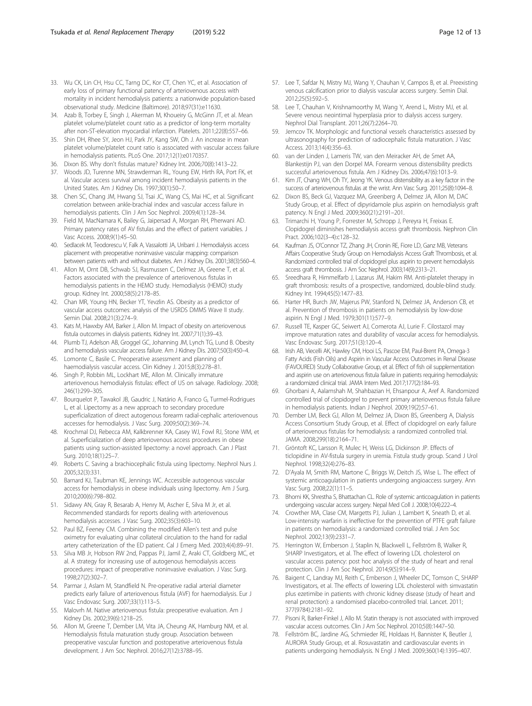- <span id="page-11-0"></span>33. Wu CK, Lin CH, Hsu CC, Tarng DC, Kor CT, Chen YC, et al. Association of early loss of primary functional patency of arteriovenous access with mortality in incident hemodialysis patients: a nationwide population-based observational study. Medicine (Baltimore). 2018;97(31):e11630.
- 34. Azab B, Torbey E, Singh J, Akerman M, Khoueiry G, McGinn JT, et al. Mean platelet volume/platelet count ratio as a predictor of long-term mortality after non-ST-elevation myocardial infarction. Platelets. 2011;22(8):557–66.
- 35. Shin DH, Rhee SY, Jeon HJ, Park JY, Kang SW, Oh J. An increase in mean platelet volume/platelet count ratio is associated with vascular access failure in hemodialysis patients. PLoS One. 2017;12(1):e0170357.
- 36. Dixon BS. Why don't fistulas mature? Kidney Int. 2006;70(8):1413–22.
- 37. Woods JD, Turenne MN, Strawderman RL, Young EW, Hirth RA, Port FK, et al. Vascular access survival among incident hemodialysis patients in the United States. Am J Kidney Dis. 1997;30(1):50–7.
- 38. Chen SC, Chang JM, Hwang SJ, Tsai JC, Wang CS, Mai HC, et al. Significant correlation between ankle-brachial index and vascular access failure in hemodialysis patients. Clin J Am Soc Nephrol. 2009;4(1):128–34.
- 39. Field M, MacNamara K, Bailey G, Jaipersad A, Morgan RH, Pherwani AD. Primary patency rates of AV fistulas and the effect of patient variables. J Vasc Access. 2008;9(1):45–50.
- 40. Sedlacek M, Teodorescu V, Falk A, Vassalotti JA, Uribarri J. Hemodialysis access placement with preoperative noninvasive vascular mapping: comparison between patients with and without diabetes. Am J Kidney Dis. 2001;38(3):560–4.
- 41. Allon M, Ornt DB, Schwab SJ, Rasmussen C, Delmez JA, Greene T, et al. Factors associated with the prevalence of arteriovenous fistulas in hemodialysis patients in the HEMO study. Hemodialysis (HEMO) study group. Kidney Int. 2000;58(5):2178–85.
- 42. Chan MR, Young HN, Becker YT, Yevzlin AS. Obesity as a predictor of vascular access outcomes: analysis of the USRDS DMMS Wave II study. Semin Dial. 2008;21(3):274–9.
- 43. Kats M, Hawxby AM, Barker J, Allon M. Impact of obesity on arteriovenous fistula outcomes in dialysis patients. Kidney Int. 2007;71(1):39–43.
- 44. Plumb TJ, Adelson AB, Groggel GC, Johanning JM, Lynch TG, Lund B. Obesity and hemodialysis vascular access failure. Am J Kidney Dis. 2007;50(3):450–4.
- 45. Lomonte C, Basile C. Preoperative assessment and planning of haemodialysis vascular access. Clin Kidney J. 2015;8(3):278–81.
- 46. Singh P, Robbin ML, Lockhart ME, Allon M. Clinically immature arteriovenous hemodialysis fistulas: effect of US on salvage. Radiology. 2008; 246(1):299–305.
- 47. Bourquelot P, Tawakol JB, Gaudric J, Natário A, Franco G, Turmel-Rodrigues L, et al. Lipectomy as a new approach to secondary procedure superficialization of direct autogenous forearm radial-cephalic arteriovenous accesses for hemodialysis. J Vasc Surg. 2009;50(2):369–74.
- 48. Krochmal DJ, Rebecca AM, Kalkbrenner KA, Casey WJ, Fowl RJ, Stone WM, et al. Superficialization of deep arteriovenous access procedures in obese patients using suction-assisted lipectomy: a novel approach. Can J Plast Surg. 2010;18(1):25–7.
- 49. Roberts C. Saving a brachiocephalic fistula using lipectomy. Nephrol Nurs J. 2005;32(3):331.
- 50. Barnard KJ, Taubman KE, Jennings WC. Accessible autogenous vascular access for hemodialysis in obese individuals using lipectomy. Am J Surg. 2010;200(6):798–802.
- 51. Sidawy AN, Gray R, Besarab A, Henry M, Ascher E, Silva M Jr, et al. Recommended standards for reports dealing with arteriovenous hemodialysis accesses. J Vasc Surg. 2002;35(3):603–10.
- 52. Paul BZ, Feeney CM. Combining the modified Allen's test and pulse oximetry for evaluating ulnar collateral circulation to the hand for radial artery catheterization of the ED patient. Cal J Emerg Med. 2003;4(4):89–91.
- 53. Silva MB Jr, Hobson RW 2nd, Pappas PJ, Jamil Z, Araki CT, Goldberg MC, et al. A strategy for increasing use of autogenous hemodialysis access procedures: impact of preoperative noninvasive evaluation. J Vasc Surg. 1998;27(2):302–7.
- 54. Parmar J, Aslam M, Standfield N. Pre-operative radial arterial diameter predicts early failure of arteriovenous fistula (AVF) for haemodialysis. Eur J Vasc Endovasc Surg. 2007;33(1):113–5.
- 55. Malovrh M. Native arteriovenous fistula: preoperative evaluation. Am J Kidney Dis. 2002;39(6):1218–25.
- 56. Allon M, Greene T, Dember LM, Vita JA, Cheung AK, Hamburg NM, et al. Hemodialysis fistula maturation study group. Association between preoperative vascular function and postoperative arteriovenous fistula development. J Am Soc Nephrol. 2016;27(12):3788–95.
- 57. Lee T, Safdar N, Mistry MJ, Wang Y, Chauhan V, Campos B, et al. Preexisting venous calcification prior to dialysis vascular access surgery. Semin Dial. 2012;25(5):592–5.
- 58. Lee T, Chauhan V, Krishnamoorthy M, Wang Y, Arend L, Mistry MJ, et al. Severe venous neointimal hyperplasia prior to dialysis access surgery. Nephrol Dial Transplant. 2011;26(7):2264–70.
- Jemcov TK. Morphologic and functional vessels characteristics assessed by ultrasonography for prediction of radiocephalic fistula maturation. J Vasc Access. 2013;14(4):356–63.
- 60. van der Linden J, Lameris TW, van den Meiracker AH, de Smet AA, Blankestijn PJ, van den Dorpel MA. Forearm venous distensibility predicts successful arteriovenous fistula. Am J Kidney Dis. 2006;47(6):1013–9.
- 61. Kim JT, Chang WH, Oh TY, Jeong YK. Venous distensibility as a key factor in the success of arteriovenous fistulas at the wrist. Ann Vasc Surg. 2011;25(8):1094–8.
- 62. Dixon BS, Beck GJ, Vazquez MA, Greenberg A, Delmez JA, Allon M, DAC Study Group, et al. Effect of dipyridamole plus aspirin on hemodialysis graft patency. N Engl J Med. 2009;360(21):2191–201.
- 63. Trimarchi H, Young P, Forrester M, Schropp J, Pereyra H, Freixas E. Clopidogrel diminishes hemodialysis access graft thrombosis. Nephron Clin Pract. 2006;102(3–4):c128–32.
- 64. Kaufman JS, O'Connor TZ, Zhang JH, Cronin RE, Fiore LD, Ganz MB, Veterans Affairs Cooperative Study Group on Hemodialysis Access Graft Thrombosis, et al. Randomized controlled trial of clopidogrel plus aspirin to prevent hemodialysis access graft thrombosis. J Am Soc Nephrol. 2003;14(9):2313–21.
- 65. Sreedhara R, Himmelfarb J, Lazarus JM, Hakim RM. Anti-platelet therapy in graft thrombosis: results of a prospective, randomized, double-blind study. Kidney Int. 1994;45(5):1477–83.
- 66. Harter HR, Burch JW, Majerus PW, Stanford N, Delmez JA, Anderson CB, et al. Prevention of thrombosis in patients on hemodialysis by low-dose aspirin. N Engl J Med. 1979;301(11):577–9.
- 67. Russell TE, Kasper GC, Seiwert AJ, Comerota AJ, Lurie F. Cilostazol may improve maturation rates and durability of vascular access for hemodialysis. Vasc Endovasc Surg. 2017;51(3):120–4.
- 68. Irish AB, Viecelli AK, Hawley CM, Hooi LS, Pascoe EM, Paul-Brent PA, Omega-3 Fatty Acids (Fish Oils) and Aspirin in Vascular Access Outcomes in Renal Disease (FAVOURED) Study Collaborative Group, et al. Effect of fish oil supplementation and aspirin use on arteriovenous fistula failure in patients requiring hemodialysis: a randomized clinical trial. JAMA Intern Med. 2017;177(2):184–93.
- 69. Ghorbani A, Aalamshah M, Shahbazian H, Ehsanpour A, Aref A. Randomized controlled trial of clopidogrel to prevent primary arteriovenous fistula failure in hemodialysis patients. Indian J Nephrol. 2009;19(2):57–61.
- 70. Dember LM, Beck GJ, Allon M, Delmez JA, Dixon BS, Greenberg A, Dialysis Access Consortium Study Group, et al. Effect of clopidogrel on early failure of arteriovenous fistulas for hemodialysis: a randomized controlled trial. JAMA. 2008;299(18):2164–71.
- 71. Gröntoft KC, Larsson R, Mulec H, Weiss LG, Dickinson JP. Effects of ticlopidine in AV-fistula surgery in uremia. Fistula study group. Scand J Urol Nephrol. 1998;32(4):276–83.
- 72. D'Ayala M, Smith RM, Martone C, Briggs W, Deitch JS, Wise L. The effect of systemic anticoagulation in patients undergoing angioaccess surgery. Ann Vasc Surg. 2008;22(1):11–5.
- 73. Bhomi KK, Shrestha S, Bhattachan CL. Role of systemic anticoagulation in patients undergoing vascular access surgery. Nepal Med Coll J. 2008;10(4):222–4.
- 74. Crowther MA, Clase CM, Margetts PJ, Julian J, Lambert K, Sneath D, et al. Low-intensity warfarin is ineffective for the prevention of PTFE graft failure in patients on hemodialysis: a randomized controlled trial. J Am Soc Nephrol. 2002;13(9):2331–7.
- 75. Herrington W, Emberson J, Staplin N, Blackwell L, Fellström B, Walker R, SHARP Investigators, et al. The effect of lowering LDL cholesterol on vascular access patency: post hoc analysis of the study of heart and renal protection. Clin J Am Soc Nephrol. 2014;9(5):914–9.
- 76. Baigent C, Landray MJ, Reith C, Emberson J, Wheeler DC, Tomson C, SHARP Investigators, et al. The effects of lowering LDL cholesterol with simvastatin plus ezetimibe in patients with chronic kidney disease (study of heart and renal protection): a randomised placebo-controlled trial. Lancet. 2011; 377(9784):2181–92.
- 77. Pisoni R, Barker-Finkel J, Allo M. Statin therapy is not associated with improved vascular access outcomes. Clin J Am Soc Nephrol. 2010;5(8):1447–50.
- 78. Fellström BC, Jardine AG, Schmieder RE, Holdaas H, Bannister K, Beutler J, AURORA Study Group, et al. Rosuvastatin and cardiovascular events in patients undergoing hemodialysis. N Engl J Med. 2009;360(14):1395–407.